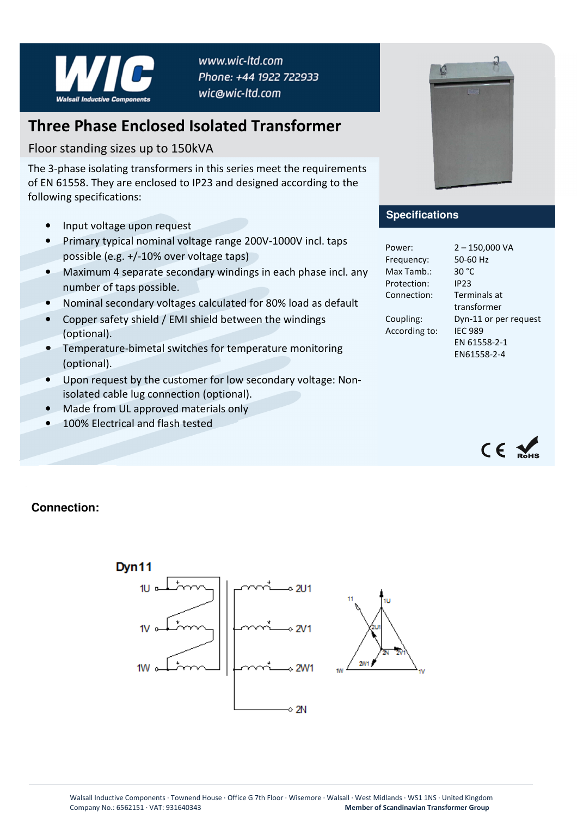

www.wic-ltd.com Phone: +44 1922 722933 wic@wic-ltd.com

## **Three Phase Enclosed Isolated Transformer**

Floor standing sizes up to 150kVA

The 3-phase isolating transformers in this series meet the requirements of EN 61558. They are enclosed to IP23 and designed according to the following specifications:

- Input voltage upon request
- Primary typical nominal voltage range 200V-1000V incl. taps possible (e.g. +/-10% over voltage taps)
- Maximum 4 separate secondary windings in each phase incl. any number of taps possible.
- Nominal secondary voltages calculated for 80% load as default
- Copper safety shield / EMI shield between the windings (optional).
- Temperature-bimetal switches for temperature monitoring (optional).
- Upon request by the customer for low secondary voltage: Nonisolated cable lug connection (optional).
- Made from UL approved materials only
- 100% Electrical and flash tested



## **Specifications**

| Power:        | $2 - 150,000$ VA      |
|---------------|-----------------------|
| Frequency:    | 50-60 Hz              |
| Max Tamb.:    | 30 °C                 |
| Protection:   | IP23                  |
| Connection:   | Terminals at          |
|               | transformer           |
| Coupling:     | Dyn-11 or per request |
| According to: | <b>IFC 989</b>        |
|               | FN 61558-2-1          |
|               | EN61558-2-4           |



## **Connection:**